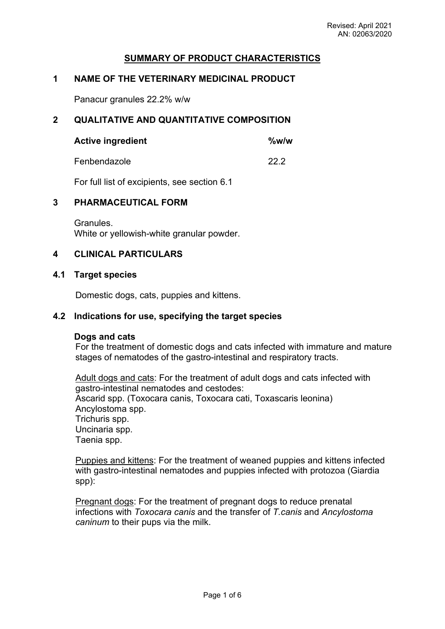# **SUMMARY OF PRODUCT CHARACTERISTICS**

# **1 NAME OF THE VETERINARY MEDICINAL PRODUCT**

Panacur granules 22.2% w/w

## **2 QUALITATIVE AND QUANTITATIVE COMPOSITION**

| <b>Active ingredient</b> | %w/w |
|--------------------------|------|
|--------------------------|------|

Fenbendazole 22.2

For full list of excipients, see section 6.1

## **3 PHARMACEUTICAL FORM**

Granules. White or yellowish-white granular powder.

## **4 CLINICAL PARTICULARS**

#### **4.1 Target species**

Domestic dogs, cats, puppies and kittens.

### **4.2 Indications for use, specifying the target species**

#### **Dogs and cats**

For the treatment of domestic dogs and cats infected with immature and mature stages of nematodes of the gastro-intestinal and respiratory tracts.

Adult dogs and cats: For the treatment of adult dogs and cats infected with gastro-intestinal nematodes and cestodes: Ascarid spp. (Toxocara canis, Toxocara cati, Toxascaris leonina) Ancylostoma spp. Trichuris spp. Uncinaria spp. Taenia spp.

Puppies and kittens: For the treatment of weaned puppies and kittens infected with gastro-intestinal nematodes and puppies infected with protozoa (Giardia spp):

Pregnant dogs: For the treatment of pregnant dogs to reduce prenatal infections with *Toxocara canis* and the transfer of *T.canis* and *Ancylostoma caninum* to their pups via the milk.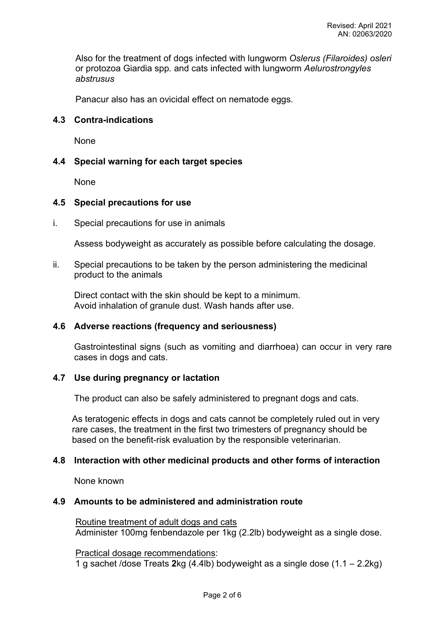Also for the treatment of dogs infected with lungworm *Oslerus (Filaroides) osleri*  or protozoa Giardia spp*.* and cats infected with lungworm *Aelurostrongyles abstrusus*

Panacur also has an ovicidal effect on nematode eggs.

### **4.3 Contra-indications**

None

## **4.4 Special warning for each target species**

**None** 

#### **4.5 Special precautions for use**

i. Special precautions for use in animals

Assess bodyweight as accurately as possible before calculating the dosage.

ii. Special precautions to be taken by the person administering the medicinal product to the animals

Direct contact with the skin should be kept to a minimum. Avoid inhalation of granule dust. Wash hands after use.

#### **4.6 Adverse reactions (frequency and seriousness)**

Gastrointestinal signs (such as vomiting and diarrhoea) can occur in very rare cases in dogs and cats.

#### **4.7 Use during pregnancy or lactation**

The product can also be safely administered to pregnant dogs and cats.

As teratogenic effects in dogs and cats cannot be completely ruled out in very rare cases, the treatment in the first two trimesters of pregnancy should be based on the benefit-risk evaluation by the responsible veterinarian.

## **4.8 Interaction with other medicinal products and other forms of interaction**

None known

#### **4.9 Amounts to be administered and administration route**

Routine treatment of adult dogs and cats Administer 100mg fenbendazole per 1kg (2.2lb) bodyweight as a single dose.

Practical dosage recommendations: 1 g sachet /dose Treats **2**kg (4.4lb) bodyweight as a single dose (1.1 – 2.2kg)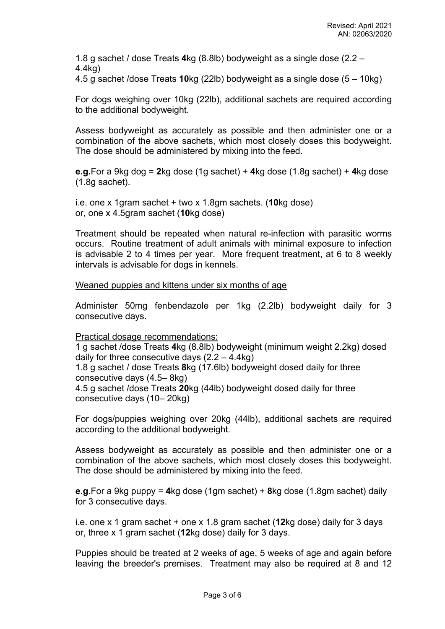1.8 g sachet / dose Treats **4**kg (8.8lb) bodyweight as a single dose (2.2 – 4.4kg)

4.5 g sachet /dose Treats **10**kg (22lb) bodyweight as a single dose (5 – 10kg)

For dogs weighing over 10kg (22lb), additional sachets are required according to the additional bodyweight.

Assess bodyweight as accurately as possible and then administer one or a combination of the above sachets, which most closely doses this bodyweight. The dose should be administered by mixing into the feed.

**e.g.**For a 9kg dog = **2**kg dose (1g sachet) + **4**kg dose (1.8g sachet) + **4**kg dose (1.8g sachet).

i.e. one x 1gram sachet + two x 1.8gm sachets. (**10**kg dose) or, one x 4.5gram sachet (**10**kg dose)

Treatment should be repeated when natural re-infection with parasitic worms occurs. Routine treatment of adult animals with minimal exposure to infection is advisable 2 to 4 times per year. More frequent treatment, at 6 to 8 weekly intervals is advisable for dogs in kennels.

Weaned puppies and kittens under six months of age

Administer 50mg fenbendazole per 1kg (2.2lb) bodyweight daily for 3 consecutive days.

Practical dosage recommendations:

1 g sachet /dose Treats **4**kg (8.8lb) bodyweight (minimum weight 2.2kg) dosed daily for three consecutive days (2.2 – 4.4kg)

1.8 g sachet / dose Treats **8**kg (17.6lb) bodyweight dosed daily for three consecutive days (4.5– 8kg)

4.5 g sachet /dose Treats **20**kg (44lb) bodyweight dosed daily for three consecutive days (10– 20kg)

For dogs/puppies weighing over 20kg (44lb), additional sachets are required according to the additional bodyweight.

Assess bodyweight as accurately as possible and then administer one or a combination of the above sachets, which most closely doses this bodyweight. The dose should be administered by mixing into the feed.

**e.g.**For a 9kg puppy = **4**kg dose (1gm sachet) + **8**kg dose (1.8gm sachet) daily for 3 consecutive days.

i.e. one x 1 gram sachet + one x 1.8 gram sachet (**12**kg dose) daily for 3 days or, three x 1 gram sachet (**12**kg dose) daily for 3 days.

Puppies should be treated at 2 weeks of age, 5 weeks of age and again before leaving the breeder's premises. Treatment may also be required at 8 and 12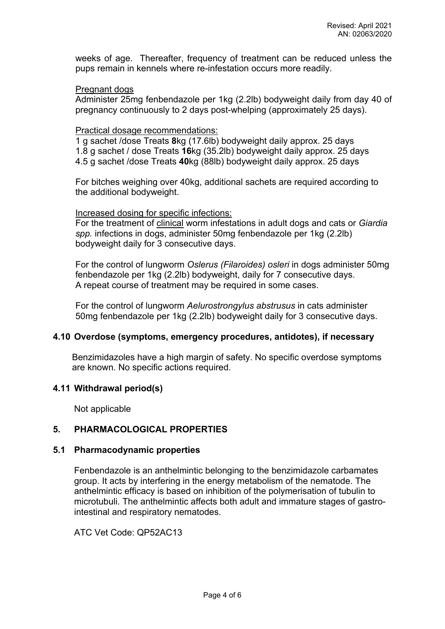weeks of age. Thereafter, frequency of treatment can be reduced unless the pups remain in kennels where re-infestation occurs more readily.

#### Pregnant dogs

Administer 25mg fenbendazole per 1kg (2.2lb) bodyweight daily from day 40 of pregnancy continuously to 2 days post-whelping (approximately 25 days).

#### Practical dosage recommendations:

1 g sachet /dose Treats **8**kg (17.6lb) bodyweight daily approx. 25 days 1.8 g sachet / dose Treats **16**kg (35.2lb) bodyweight daily approx. 25 days 4.5 g sachet /dose Treats **40**kg (88lb) bodyweight daily approx. 25 days

For bitches weighing over 40kg, additional sachets are required according to the additional bodyweight.

#### Increased dosing for specific infections:

For the treatment of clinical worm infestations in adult dogs and cats or *Giardia spp.* infections in dogs, administer 50mg fenbendazole per 1kg (2.2lb) bodyweight daily for 3 consecutive days.

For the control of lungworm *Oslerus (Filaroides) osleri* in dogs administer 50mg fenbendazole per 1kg (2.2lb) bodyweight, daily for 7 consecutive days. A repeat course of treatment may be required in some cases.

For the control of lungworm *Aelurostrongylus abstrusus* in cats administer 50mg fenbendazole per 1kg (2.2lb) bodyweight daily for 3 consecutive days.

## **4.10 Overdose (symptoms, emergency procedures, antidotes), if necessary**

Benzimidazoles have a high margin of safety. No specific overdose symptoms are known. No specific actions required.

#### **4.11 Withdrawal period(s)**

Not applicable

## **5. PHARMACOLOGICAL PROPERTIES**

#### **5.1 Pharmacodynamic properties**

Fenbendazole is an anthelmintic belonging to the benzimidazole carbamates group. It acts by interfering in the energy metabolism of the nematode. The anthelmintic efficacy is based on inhibition of the polymerisation of tubulin to microtubuli. The anthelmintic affects both adult and immature stages of gastrointestinal and respiratory nematodes.

ATC Vet Code: QP52AC13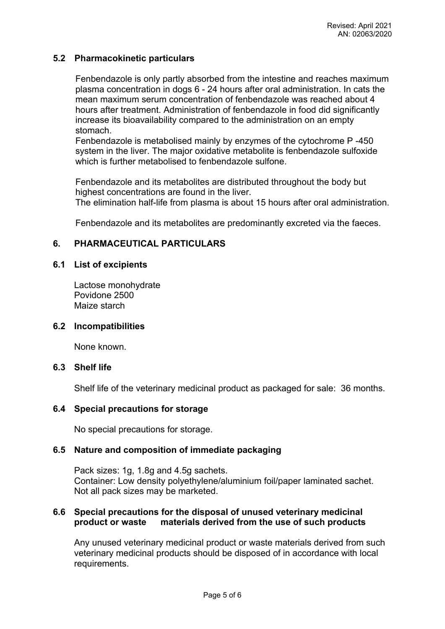## **5.2 Pharmacokinetic particulars**

Fenbendazole is only partly absorbed from the intestine and reaches maximum plasma concentration in dogs 6 - 24 hours after oral administration. In cats the mean maximum serum concentration of fenbendazole was reached about 4 hours after treatment. Administration of fenbendazole in food did significantly increase its bioavailability compared to the administration on an empty stomach.

Fenbendazole is metabolised mainly by enzymes of the cytochrome P -450 system in the liver. The major oxidative metabolite is fenbendazole sulfoxide which is further metabolised to fenbendazole sulfone.

Fenbendazole and its metabolites are distributed throughout the body but highest concentrations are found in the liver.

The elimination half-life from plasma is about 15 hours after oral administration.

Fenbendazole and its metabolites are predominantly excreted via the faeces.

# **6. PHARMACEUTICAL PARTICULARS**

## **6.1 List of excipients**

Lactose monohydrate Povidone 2500 Maize starch

#### **6.2 Incompatibilities**

None known.

#### **6.3 Shelf life**

Shelf life of the veterinary medicinal product as packaged for sale: 36 months.

## **6.4 Special precautions for storage**

No special precautions for storage.

## **6.5 Nature and composition of immediate packaging**

Pack sizes: 1g, 1.8g and 4.5g sachets. Container: Low density polyethylene/aluminium foil/paper laminated sachet. Not all pack sizes may be marketed.

## **6.6 Special precautions for the disposal of unused veterinary medicinal product or waste materials derived from the use of such products**

Any unused veterinary medicinal product or waste materials derived from such veterinary medicinal products should be disposed of in accordance with local requirements.